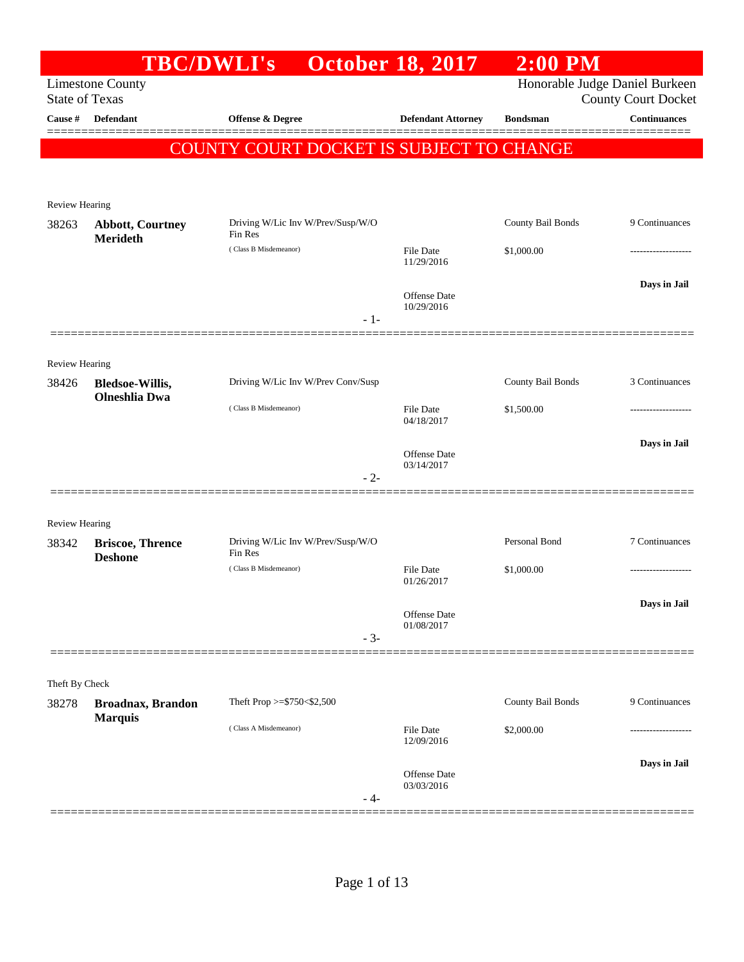| <b>TBC/DWLI's</b><br><b>Limestone County</b><br><b>State of Texas</b><br>Defendant<br>Review Hearing<br><b>Abbott, Courtney</b> | Offense & Degree<br>COUNTY COURT DOCKET IS SUBJECT TO CHANGE |       | <b>October 18, 2017</b><br><b>Defendant Attorney</b>                            | <b>Bondsman</b>          | Honorable Judge Daniel Burkeen<br><b>County Court Docket</b><br><b>Continuances</b> |
|---------------------------------------------------------------------------------------------------------------------------------|--------------------------------------------------------------|-------|---------------------------------------------------------------------------------|--------------------------|-------------------------------------------------------------------------------------|
|                                                                                                                                 |                                                              |       |                                                                                 |                          |                                                                                     |
|                                                                                                                                 |                                                              |       |                                                                                 |                          |                                                                                     |
|                                                                                                                                 |                                                              |       |                                                                                 |                          |                                                                                     |
|                                                                                                                                 |                                                              |       |                                                                                 |                          |                                                                                     |
|                                                                                                                                 | Driving W/Lic Inv W/Prev/Susp/W/O<br>Fin Res                 |       |                                                                                 | County Bail Bonds        | 9 Continuances                                                                      |
| Merideth                                                                                                                        | (Class B Misdemeanor)                                        |       | <b>File Date</b><br>11/29/2016                                                  | \$1,000.00               |                                                                                     |
|                                                                                                                                 |                                                              |       | Offense Date<br>10/29/2016                                                      |                          | Days in Jail                                                                        |
|                                                                                                                                 |                                                              | $-1-$ |                                                                                 |                          |                                                                                     |
| Review Hearing                                                                                                                  |                                                              |       |                                                                                 |                          |                                                                                     |
| <b>Bledsoe-Willis,</b><br><b>Olneshlia</b> Dwa                                                                                  |                                                              |       |                                                                                 |                          | 3 Continuances                                                                      |
|                                                                                                                                 | (Class B Misdemeanor)                                        |       | File Date<br>04/18/2017                                                         | \$1,500.00               | -------------                                                                       |
|                                                                                                                                 |                                                              |       | Offense Date                                                                    |                          | Days in Jail                                                                        |
|                                                                                                                                 |                                                              | $-2-$ |                                                                                 |                          |                                                                                     |
| <b>Review Hearing</b>                                                                                                           |                                                              |       |                                                                                 |                          |                                                                                     |
| <b>Briscoe, Thrence</b>                                                                                                         | Fin Res                                                      |       |                                                                                 | Personal Bond            | 7 Continuances                                                                      |
|                                                                                                                                 | (Class B Misdemeanor)                                        |       | File Date<br>01/26/2017                                                         | \$1,000.00               | -------------------                                                                 |
|                                                                                                                                 |                                                              |       | Offense Date                                                                    |                          | Days in Jail                                                                        |
|                                                                                                                                 |                                                              | $-3-$ |                                                                                 |                          |                                                                                     |
| Theft By Check                                                                                                                  |                                                              |       |                                                                                 |                          |                                                                                     |
| <b>Broadnax, Brandon</b>                                                                                                        | Theft Prop $>=$ \$750 < \$2,500                              |       |                                                                                 | County Bail Bonds        | 9 Continuances                                                                      |
|                                                                                                                                 | (Class A Misdemeanor)                                        |       | File Date<br>12/09/2016                                                         | \$2,000.00               |                                                                                     |
|                                                                                                                                 |                                                              |       | Offense Date<br>03/03/2016                                                      |                          | Days in Jail                                                                        |
|                                                                                                                                 | <b>Deshone</b><br><b>Marquis</b>                             |       | Driving W/Lic Inv W/Prev Conv/Susp<br>Driving W/Lic Inv W/Prev/Susp/W/O<br>- 4- | 03/14/2017<br>01/08/2017 | <b>County Bail Bonds</b>                                                            |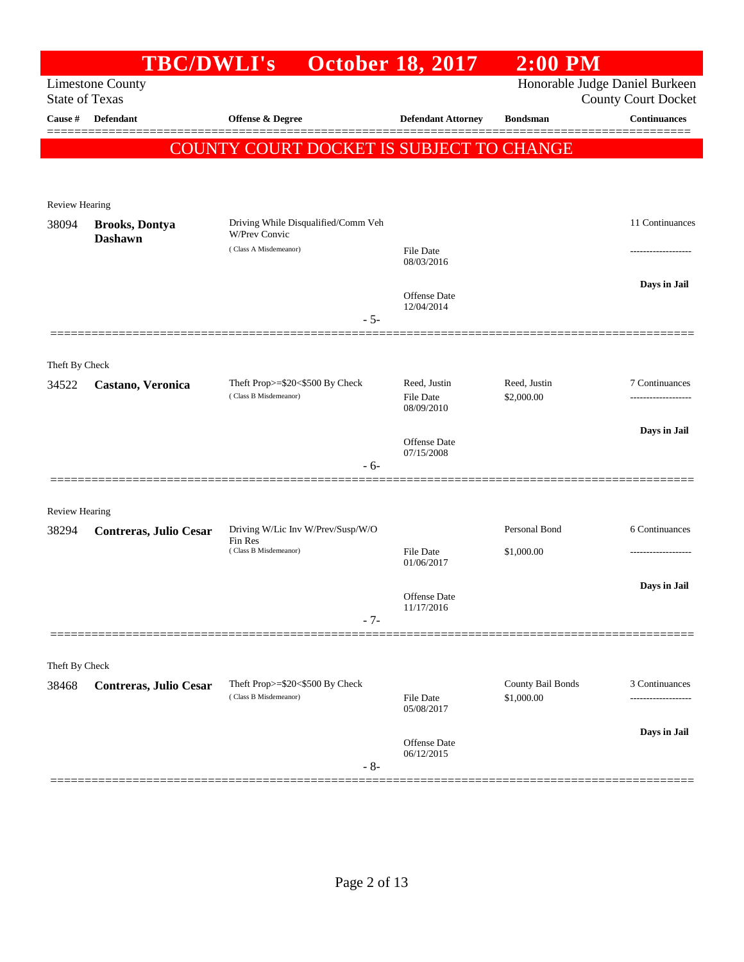|                                | <b>TBC/DWLI's</b>                                |                                                             | <b>October 18, 2017</b>    | $2:00$ PM         |                                                   |
|--------------------------------|--------------------------------------------------|-------------------------------------------------------------|----------------------------|-------------------|---------------------------------------------------|
|                                | <b>Limestone County</b><br><b>State of Texas</b> |                                                             |                            |                   | Honorable Judge Daniel Burkeen                    |
| Cause #                        | Defendant                                        | Offense & Degree                                            | <b>Defendant Attorney</b>  | <b>Bondsman</b>   | <b>County Court Docket</b><br><b>Continuances</b> |
|                                |                                                  |                                                             |                            |                   |                                                   |
|                                |                                                  | COUNTY COURT DOCKET IS SUBJECT TO CHANGE                    |                            |                   |                                                   |
|                                |                                                  |                                                             |                            |                   |                                                   |
| Review Hearing                 |                                                  |                                                             |                            |                   |                                                   |
| 38094                          | <b>Brooks, Dontya</b>                            | Driving While Disqualified/Comm Veh<br><b>W/Prev Convic</b> |                            |                   | 11 Continuances                                   |
|                                | <b>Dashawn</b>                                   | (Class A Misdemeanor)                                       | File Date                  |                   |                                                   |
|                                |                                                  |                                                             | 08/03/2016                 |                   |                                                   |
|                                |                                                  |                                                             | Offense Date               |                   | Days in Jail                                      |
|                                |                                                  | $-5-$                                                       | 12/04/2014                 |                   |                                                   |
|                                |                                                  |                                                             |                            |                   |                                                   |
| Theft By Check                 |                                                  |                                                             |                            |                   |                                                   |
| 34522                          | Castano, Veronica                                | Theft Prop>=\$20<\$500 By Check                             | Reed, Justin               | Reed, Justin      | 7 Continuances                                    |
|                                |                                                  | (Class B Misdemeanor)                                       | File Date<br>08/09/2010    | \$2,000.00        |                                                   |
|                                |                                                  |                                                             |                            |                   | Days in Jail                                      |
|                                |                                                  |                                                             | Offense Date<br>07/15/2008 |                   |                                                   |
|                                |                                                  | $-6-$                                                       |                            |                   |                                                   |
|                                |                                                  |                                                             |                            |                   |                                                   |
| <b>Review Hearing</b><br>38294 |                                                  | Driving W/Lic Inv W/Prev/Susp/W/O                           |                            | Personal Bond     | 6 Continuances                                    |
|                                | Contreras, Julio Cesar                           | Fin Res<br>(Class B Misdemeanor)                            | File Date                  | \$1,000.00        |                                                   |
|                                |                                                  |                                                             | 01/06/2017                 |                   |                                                   |
|                                |                                                  |                                                             | Offense Date               |                   | Days in Jail                                      |
|                                |                                                  | $-7-$                                                       | 11/17/2016                 |                   |                                                   |
|                                |                                                  |                                                             |                            |                   |                                                   |
| Theft By Check                 |                                                  |                                                             |                            |                   |                                                   |
| 38468                          | Contreras, Julio Cesar                           | Theft Prop>=\$20<\$500 By Check                             |                            | County Bail Bonds | 3 Continuances                                    |
|                                |                                                  | (Class B Misdemeanor)                                       | File Date<br>05/08/2017    | \$1,000.00        |                                                   |
|                                |                                                  |                                                             |                            |                   | Days in Jail                                      |
|                                |                                                  |                                                             | Offense Date<br>06/12/2015 |                   |                                                   |
|                                |                                                  | $-8-$                                                       |                            |                   |                                                   |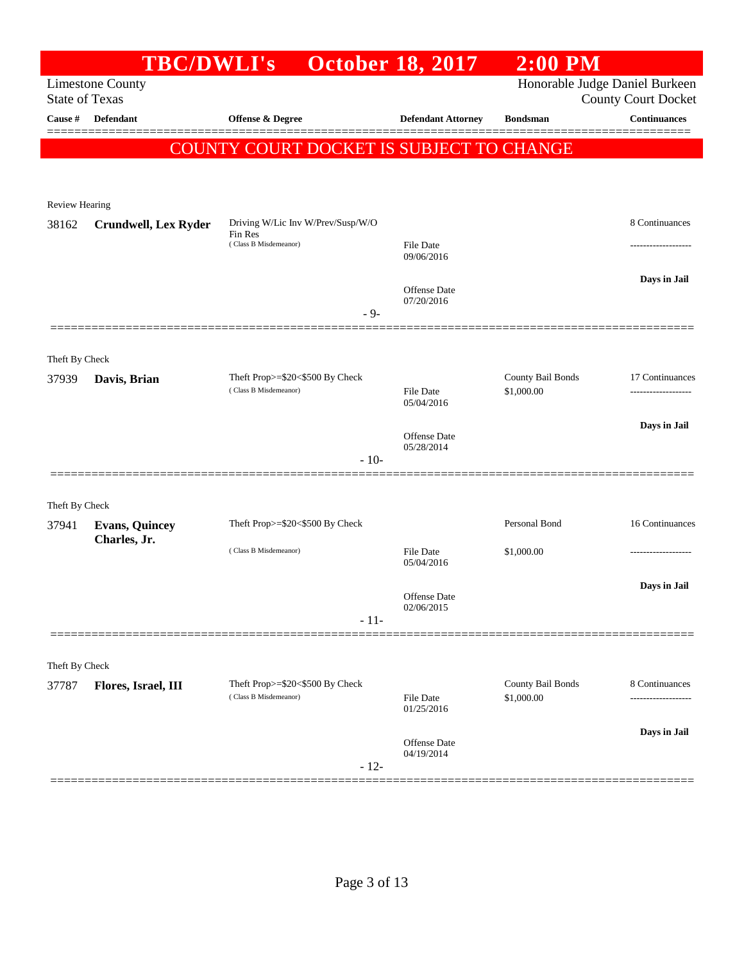|                       | <b>TBC/DWLI's</b>           |                                              | <b>October 18, 2017</b>        | $2:00$ PM         |                                |
|-----------------------|-----------------------------|----------------------------------------------|--------------------------------|-------------------|--------------------------------|
|                       | <b>Limestone County</b>     |                                              |                                |                   | Honorable Judge Daniel Burkeen |
| <b>State of Texas</b> |                             |                                              |                                |                   | <b>County Court Docket</b>     |
| Cause #               | <b>Defendant</b>            | Offense & Degree                             | <b>Defendant Attorney</b>      | <b>Bondsman</b>   | <b>Continuances</b>            |
|                       |                             | COUNTY COURT DOCKET IS SUBJECT TO CHANGE     |                                |                   |                                |
|                       |                             |                                              |                                |                   |                                |
|                       |                             |                                              |                                |                   |                                |
| Review Hearing        |                             |                                              |                                |                   |                                |
| 38162                 | <b>Crundwell, Lex Ryder</b> | Driving W/Lic Inv W/Prev/Susp/W/O<br>Fin Res |                                |                   | 8 Continuances                 |
|                       |                             | (Class B Misdemeanor)                        | File Date<br>09/06/2016        |                   |                                |
|                       |                             |                                              |                                |                   |                                |
|                       |                             |                                              | <b>Offense Date</b>            |                   | Days in Jail                   |
|                       |                             | $-9-$                                        | 07/20/2016                     |                   |                                |
|                       |                             |                                              |                                |                   |                                |
| Theft By Check        |                             |                                              |                                |                   |                                |
| 37939                 | Davis, Brian                | Theft Prop>=\$20<\$500 By Check              |                                | County Bail Bonds | 17 Continuances                |
|                       |                             | (Class B Misdemeanor)                        | <b>File Date</b><br>05/04/2016 | \$1,000.00        |                                |
|                       |                             |                                              |                                |                   |                                |
|                       |                             |                                              | <b>Offense</b> Date            |                   | Days in Jail                   |
|                       |                             | $-10-$                                       | 05/28/2014                     |                   |                                |
|                       |                             |                                              |                                |                   |                                |
| Theft By Check        |                             |                                              |                                |                   |                                |
| 37941                 | <b>Evans, Quincey</b>       | Theft Prop>=\$20<\$500 By Check              |                                | Personal Bond     | 16 Continuances                |
|                       | Charles, Jr.                |                                              |                                |                   |                                |
|                       |                             | (Class B Misdemeanor)                        | File Date<br>05/04/2016        | \$1,000.00        | .                              |
|                       |                             |                                              |                                |                   | Days in Jail                   |
|                       |                             |                                              | Offense Date<br>02/06/2015     |                   |                                |
|                       |                             | $-11-$                                       |                                |                   |                                |
|                       |                             |                                              |                                |                   |                                |
| Theft By Check        |                             |                                              |                                |                   |                                |
| 37787                 | Flores, Israel, III         | Theft Prop>=\$20<\$500 By Check              |                                | County Bail Bonds | 8 Continuances                 |
|                       |                             | (Class B Misdemeanor)                        | File Date<br>01/25/2016        | \$1,000.00        |                                |
|                       |                             |                                              |                                |                   | Days in Jail                   |
|                       |                             |                                              | Offense Date<br>04/19/2014     |                   |                                |
|                       |                             | $-12-$                                       |                                |                   |                                |
|                       |                             |                                              |                                |                   |                                |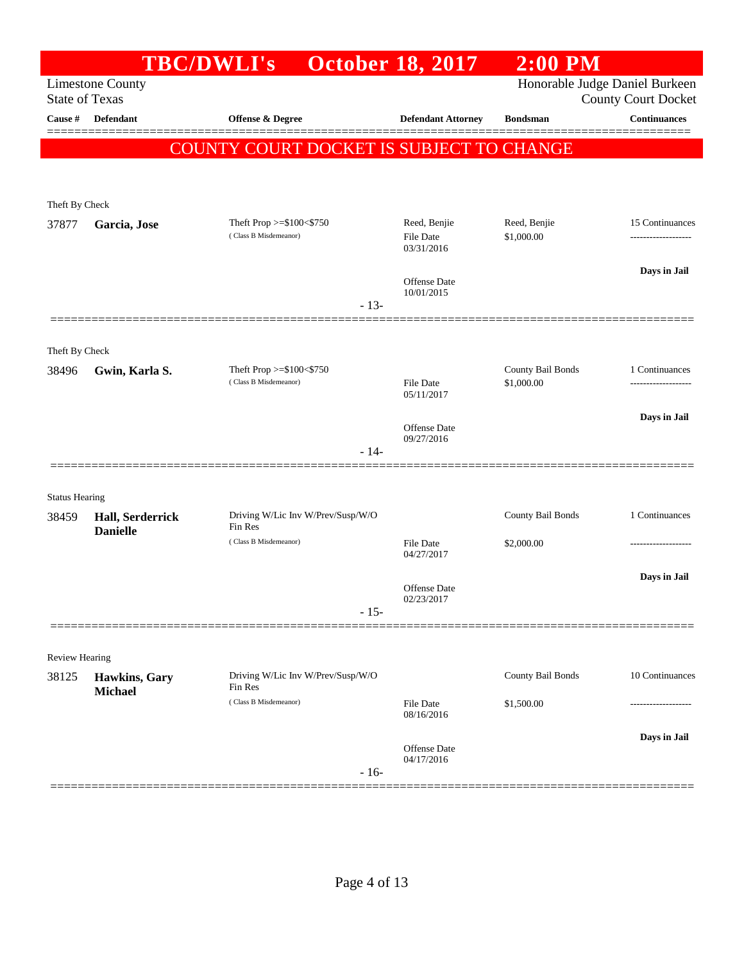|                       |                                     | <b>TBC/DWLI's</b>                                 | <b>October 18, 2017</b>                        | $2:00$ PM                       |                                                              |
|-----------------------|-------------------------------------|---------------------------------------------------|------------------------------------------------|---------------------------------|--------------------------------------------------------------|
| <b>State of Texas</b> | <b>Limestone County</b>             |                                                   |                                                |                                 | Honorable Judge Daniel Burkeen<br><b>County Court Docket</b> |
| Cause #               | <b>Defendant</b>                    | <b>Offense &amp; Degree</b>                       | <b>Defendant Attorney</b>                      | <b>Bondsman</b>                 | <b>Continuances</b>                                          |
|                       |                                     | COUNTY COURT DOCKET IS SUBJECT TO CHANGE          |                                                |                                 |                                                              |
|                       |                                     |                                                   |                                                |                                 |                                                              |
|                       |                                     |                                                   |                                                |                                 |                                                              |
| Theft By Check        |                                     |                                                   |                                                |                                 |                                                              |
| 37877                 | Garcia, Jose                        | Theft Prop >=\$100<\$750<br>(Class B Misdemeanor) | Reed, Benjie<br><b>File Date</b><br>03/31/2016 | Reed, Benjie<br>\$1,000.00      | 15 Continuances<br>------------------                        |
|                       |                                     |                                                   |                                                |                                 | Days in Jail                                                 |
|                       |                                     |                                                   | Offense Date<br>10/01/2015<br>$-13-$           |                                 |                                                              |
|                       |                                     |                                                   |                                                |                                 |                                                              |
| Theft By Check        |                                     |                                                   |                                                |                                 |                                                              |
| 38496                 | Gwin, Karla S.                      | Theft Prop >=\$100<\$750<br>(Class B Misdemeanor) | <b>File Date</b>                               | County Bail Bonds<br>\$1,000.00 | 1 Continuances<br>--------------                             |
|                       |                                     |                                                   | 05/11/2017                                     |                                 |                                                              |
|                       |                                     |                                                   | Offense Date<br>09/27/2016                     |                                 | Days in Jail                                                 |
|                       |                                     |                                                   | $-14-$                                         |                                 |                                                              |
|                       |                                     |                                                   |                                                |                                 |                                                              |
| <b>Status Hearing</b> |                                     |                                                   |                                                |                                 |                                                              |
| 38459                 | Hall, Serderrick<br><b>Danielle</b> | Driving W/Lic Inv W/Prev/Susp/W/O<br>Fin Res      |                                                | County Bail Bonds               | 1 Continuances                                               |
|                       |                                     | (Class B Misdemeanor)                             | <b>File Date</b><br>04/27/2017                 | \$2,000.00                      |                                                              |
|                       |                                     |                                                   |                                                |                                 | Days in Jail                                                 |
|                       |                                     |                                                   | <b>Offense</b> Date<br>02/23/2017              |                                 |                                                              |
|                       |                                     |                                                   | $-15-$                                         |                                 |                                                              |
|                       |                                     |                                                   |                                                |                                 |                                                              |
| <b>Review Hearing</b> |                                     |                                                   |                                                |                                 |                                                              |
| 38125                 | Hawkins, Gary<br><b>Michael</b>     | Driving W/Lic Inv W/Prev/Susp/W/O<br>Fin Res      |                                                | County Bail Bonds               | 10 Continuances                                              |
|                       |                                     | (Class B Misdemeanor)                             | <b>File Date</b><br>08/16/2016                 | \$1,500.00                      |                                                              |
|                       |                                     |                                                   |                                                |                                 | Days in Jail                                                 |
|                       |                                     |                                                   | Offense Date<br>04/17/2016<br>$-16-$           |                                 |                                                              |
|                       |                                     |                                                   |                                                |                                 |                                                              |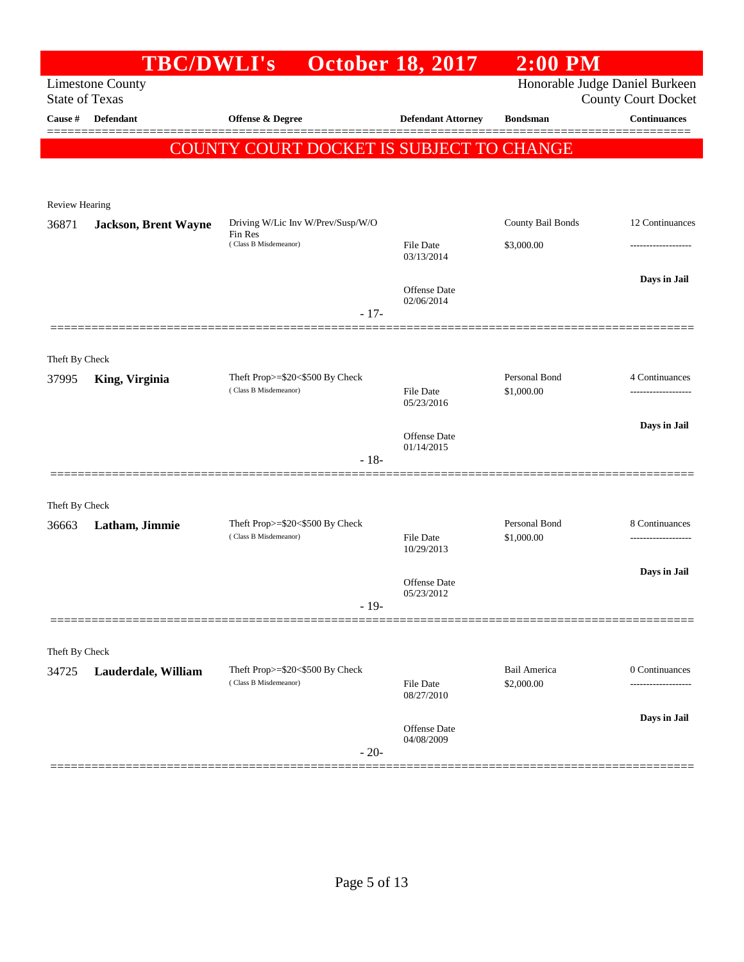|                                  | <b>TBC/DWLI's</b>           |                                                          | <b>October 18, 2017</b>           | $2:00$ PM                      |                                                   |
|----------------------------------|-----------------------------|----------------------------------------------------------|-----------------------------------|--------------------------------|---------------------------------------------------|
|                                  | <b>Limestone County</b>     |                                                          |                                   | Honorable Judge Daniel Burkeen |                                                   |
| <b>State of Texas</b><br>Cause # | <b>Defendant</b>            | <b>Offense &amp; Degree</b>                              | <b>Defendant Attorney</b>         | <b>Bondsman</b>                | <b>County Court Docket</b><br><b>Continuances</b> |
|                                  |                             |                                                          |                                   |                                | --------                                          |
|                                  |                             | COUNTY COURT DOCKET IS SUBJECT TO CHANGE                 |                                   |                                |                                                   |
|                                  |                             |                                                          |                                   |                                |                                                   |
| <b>Review Hearing</b>            |                             |                                                          |                                   |                                |                                                   |
| 36871                            | <b>Jackson, Brent Wayne</b> | Driving W/Lic Inv W/Prev/Susp/W/O                        |                                   | County Bail Bonds              | 12 Continuances                                   |
|                                  |                             | Fin Res<br>(Class B Misdemeanor)                         | File Date                         | \$3,000.00                     |                                                   |
|                                  |                             |                                                          | 03/13/2014                        |                                |                                                   |
|                                  |                             |                                                          | <b>Offense Date</b>               |                                | Days in Jail                                      |
|                                  |                             | $-17-$                                                   | 02/06/2014                        |                                |                                                   |
|                                  |                             |                                                          |                                   |                                |                                                   |
|                                  |                             |                                                          |                                   |                                |                                                   |
| Theft By Check<br>37995          | King, Virginia              | Theft Prop>=\$20<\$500 By Check                          |                                   | Personal Bond                  | 4 Continuances                                    |
|                                  |                             | (Class B Misdemeanor)                                    | File Date                         | \$1,000.00                     | -------------------                               |
|                                  |                             |                                                          | 05/23/2016                        |                                |                                                   |
|                                  |                             |                                                          | <b>Offense Date</b>               |                                | Days in Jail                                      |
|                                  |                             | $-18-$                                                   | 01/14/2015                        |                                |                                                   |
|                                  |                             |                                                          |                                   |                                |                                                   |
| Theft By Check                   |                             |                                                          |                                   |                                |                                                   |
| 36663                            | Latham, Jimmie              | Theft Prop>=\$20<\$500 By Check                          |                                   | Personal Bond                  | 8 Continuances                                    |
|                                  |                             | (Class B Misdemeanor)                                    | <b>File Date</b><br>10/29/2013    | \$1,000.00                     |                                                   |
|                                  |                             |                                                          |                                   |                                | Days in Jail                                      |
|                                  |                             |                                                          | <b>Offense Date</b><br>05/23/2012 |                                |                                                   |
|                                  |                             | $-19-$                                                   |                                   |                                |                                                   |
|                                  |                             |                                                          |                                   |                                |                                                   |
| Theft By Check                   |                             |                                                          |                                   |                                |                                                   |
| 34725                            | Lauderdale, William         | Theft Prop>=\$20<\$500 By Check<br>(Class B Misdemeanor) | File Date                         | Bail America<br>\$2,000.00     | 0 Continuances                                    |
|                                  |                             |                                                          | 08/27/2010                        |                                |                                                   |
|                                  |                             |                                                          | Offense Date                      |                                | Days in Jail                                      |
|                                  |                             |                                                          | 04/08/2009                        |                                |                                                   |
|                                  |                             | $-20-$                                                   |                                   |                                |                                                   |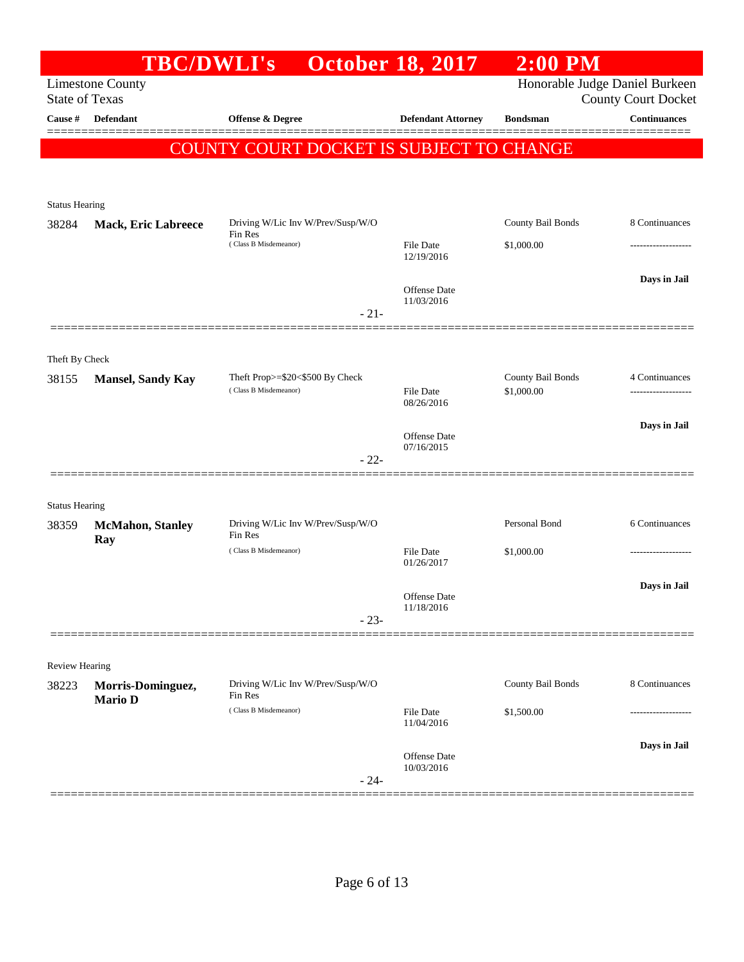|                       | <b>TBC/DWLI's</b>          |                                              | <b>October 18, 2017</b>           | $2:00$ PM         |                                |
|-----------------------|----------------------------|----------------------------------------------|-----------------------------------|-------------------|--------------------------------|
|                       | <b>Limestone County</b>    |                                              |                                   |                   | Honorable Judge Daniel Burkeen |
| <b>State of Texas</b> |                            |                                              |                                   |                   | <b>County Court Docket</b>     |
| Cause #               | Defendant                  | Offense & Degree                             | <b>Defendant Attorney</b>         | <b>Bondsman</b>   | <b>Continuances</b>            |
|                       |                            | COUNTY COURT DOCKET IS SUBJECT TO CHANGE     |                                   |                   |                                |
|                       |                            |                                              |                                   |                   |                                |
|                       |                            |                                              |                                   |                   |                                |
| <b>Status Hearing</b> |                            |                                              |                                   |                   |                                |
| 38284                 | <b>Mack, Eric Labreece</b> | Driving W/Lic Inv W/Prev/Susp/W/O<br>Fin Res |                                   | County Bail Bonds | 8 Continuances                 |
|                       |                            | (Class B Misdemeanor)                        | File Date<br>12/19/2016           | \$1,000.00        |                                |
|                       |                            |                                              |                                   |                   | Days in Jail                   |
|                       |                            |                                              | Offense Date<br>11/03/2016        |                   |                                |
|                       |                            | $-21-$                                       |                                   |                   |                                |
|                       |                            |                                              |                                   |                   |                                |
| Theft By Check        |                            |                                              |                                   |                   |                                |
| 38155                 | <b>Mansel, Sandy Kay</b>   | Theft Prop>=\$20<\$500 By Check              |                                   | County Bail Bonds | 4 Continuances                 |
|                       |                            | (Class B Misdemeanor)                        | File Date<br>08/26/2016           | \$1,000.00        | ------------------             |
|                       |                            |                                              |                                   |                   | Days in Jail                   |
|                       |                            |                                              | <b>Offense</b> Date<br>07/16/2015 |                   |                                |
|                       |                            | $-22-$                                       |                                   |                   |                                |
|                       |                            |                                              |                                   |                   |                                |
| <b>Status Hearing</b> |                            |                                              |                                   |                   |                                |
| 38359                 | <b>McMahon</b> , Stanley   | Driving W/Lic Inv W/Prev/Susp/W/O<br>Fin Res |                                   | Personal Bond     | 6 Continuances                 |
|                       | Ray                        | (Class B Misdemeanor)                        | File Date                         | \$1,000.00        |                                |
|                       |                            |                                              | 01/26/2017                        |                   |                                |
|                       |                            |                                              | Offense Date                      |                   | Days in Jail                   |
|                       |                            | $-23-$                                       | 11/18/2016                        |                   |                                |
|                       |                            |                                              |                                   |                   |                                |
| <b>Review Hearing</b> |                            |                                              |                                   |                   |                                |
| 38223                 | Morris-Dominguez,          | Driving W/Lic Inv W/Prev/Susp/W/O            |                                   | County Bail Bonds | 8 Continuances                 |
|                       | <b>Mario D</b>             | Fin Res                                      |                                   |                   |                                |
|                       |                            | (Class B Misdemeanor)                        | File Date<br>11/04/2016           | \$1,500.00        |                                |
|                       |                            |                                              |                                   |                   | Days in Jail                   |
|                       |                            |                                              | Offense Date<br>10/03/2016        |                   |                                |
|                       |                            | $-24-$                                       |                                   |                   |                                |
|                       |                            |                                              |                                   |                   |                                |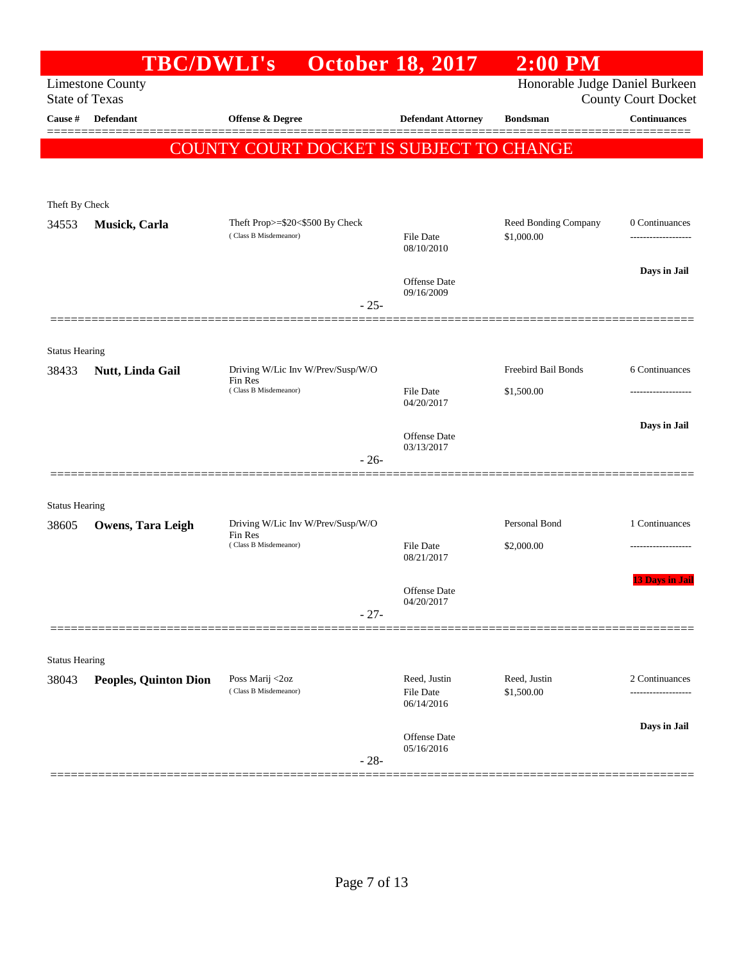| Honorable Judge Daniel Burkeen<br><b>Limestone County</b><br><b>State of Texas</b><br><b>County Court Docket</b><br>Continuances<br>Cause #<br><b>Defendant</b><br><b>Offense &amp; Degree</b><br><b>Defendant Attorney</b><br><b>Bondsman</b><br>COUNTY COURT DOCKET IS SUBJECT TO CHANGE<br>Theft By Check<br>Theft Prop>=\$20<\$500 By Check<br>Reed Bonding Company<br>0 Continuances<br>34553<br>Musick, Carla<br>(Class B Misdemeanor)<br>\$1,000.00<br>File Date<br><br>08/10/2010<br>Days in Jail<br>Offense Date<br>09/16/2009<br>$-25-$<br><b>Status Hearing</b><br>Freebird Bail Bonds<br>Driving W/Lic Inv W/Prev/Susp/W/O<br>6 Continuances<br>38433<br>Nutt, Linda Gail<br>Fin Res<br>(Class B Misdemeanor)<br><b>File Date</b><br>\$1,500.00<br>-----------------<br>04/20/2017<br>Days in Jail<br>Offense Date<br>03/13/2017<br>$-26-$<br><b>Status Hearing</b><br>Personal Bond<br>Driving W/Lic Inv W/Prev/Susp/W/O<br>1 Continuances<br>38605<br><b>Owens, Tara Leigh</b><br>Fin Res<br>(Class B Misdemeanor)<br><b>File Date</b><br>\$2,000.00<br>------------------<br>08/21/2017<br><b>13 Days in Jail</b><br>Offense Date<br>04/20/2017<br>$-27-$<br><b>Status Hearing</b><br>Poss Marij <2oz<br>Reed, Justin<br>Reed, Justin<br>2 Continuances<br><b>Peoples, Quinton Dion</b><br>38043<br>(Class B Misdemeanor)<br>File Date<br>\$1,500.00<br>06/14/2016<br>Days in Jail<br>Offense Date<br>05/16/2016<br>$-28-$ | <b>TBC/DWLI's</b> | <b>October 18, 2017</b> | $2:00$ PM |  |
|-------------------------------------------------------------------------------------------------------------------------------------------------------------------------------------------------------------------------------------------------------------------------------------------------------------------------------------------------------------------------------------------------------------------------------------------------------------------------------------------------------------------------------------------------------------------------------------------------------------------------------------------------------------------------------------------------------------------------------------------------------------------------------------------------------------------------------------------------------------------------------------------------------------------------------------------------------------------------------------------------------------------------------------------------------------------------------------------------------------------------------------------------------------------------------------------------------------------------------------------------------------------------------------------------------------------------------------------------------------------------------------------------------------------------------------------|-------------------|-------------------------|-----------|--|
|                                                                                                                                                                                                                                                                                                                                                                                                                                                                                                                                                                                                                                                                                                                                                                                                                                                                                                                                                                                                                                                                                                                                                                                                                                                                                                                                                                                                                                           |                   |                         |           |  |
|                                                                                                                                                                                                                                                                                                                                                                                                                                                                                                                                                                                                                                                                                                                                                                                                                                                                                                                                                                                                                                                                                                                                                                                                                                                                                                                                                                                                                                           |                   |                         |           |  |
|                                                                                                                                                                                                                                                                                                                                                                                                                                                                                                                                                                                                                                                                                                                                                                                                                                                                                                                                                                                                                                                                                                                                                                                                                                                                                                                                                                                                                                           |                   |                         |           |  |
|                                                                                                                                                                                                                                                                                                                                                                                                                                                                                                                                                                                                                                                                                                                                                                                                                                                                                                                                                                                                                                                                                                                                                                                                                                                                                                                                                                                                                                           |                   |                         |           |  |
|                                                                                                                                                                                                                                                                                                                                                                                                                                                                                                                                                                                                                                                                                                                                                                                                                                                                                                                                                                                                                                                                                                                                                                                                                                                                                                                                                                                                                                           |                   |                         |           |  |
|                                                                                                                                                                                                                                                                                                                                                                                                                                                                                                                                                                                                                                                                                                                                                                                                                                                                                                                                                                                                                                                                                                                                                                                                                                                                                                                                                                                                                                           |                   |                         |           |  |
|                                                                                                                                                                                                                                                                                                                                                                                                                                                                                                                                                                                                                                                                                                                                                                                                                                                                                                                                                                                                                                                                                                                                                                                                                                                                                                                                                                                                                                           |                   |                         |           |  |
|                                                                                                                                                                                                                                                                                                                                                                                                                                                                                                                                                                                                                                                                                                                                                                                                                                                                                                                                                                                                                                                                                                                                                                                                                                                                                                                                                                                                                                           |                   |                         |           |  |
|                                                                                                                                                                                                                                                                                                                                                                                                                                                                                                                                                                                                                                                                                                                                                                                                                                                                                                                                                                                                                                                                                                                                                                                                                                                                                                                                                                                                                                           |                   |                         |           |  |
|                                                                                                                                                                                                                                                                                                                                                                                                                                                                                                                                                                                                                                                                                                                                                                                                                                                                                                                                                                                                                                                                                                                                                                                                                                                                                                                                                                                                                                           |                   |                         |           |  |
|                                                                                                                                                                                                                                                                                                                                                                                                                                                                                                                                                                                                                                                                                                                                                                                                                                                                                                                                                                                                                                                                                                                                                                                                                                                                                                                                                                                                                                           |                   |                         |           |  |
|                                                                                                                                                                                                                                                                                                                                                                                                                                                                                                                                                                                                                                                                                                                                                                                                                                                                                                                                                                                                                                                                                                                                                                                                                                                                                                                                                                                                                                           |                   |                         |           |  |
|                                                                                                                                                                                                                                                                                                                                                                                                                                                                                                                                                                                                                                                                                                                                                                                                                                                                                                                                                                                                                                                                                                                                                                                                                                                                                                                                                                                                                                           |                   |                         |           |  |
|                                                                                                                                                                                                                                                                                                                                                                                                                                                                                                                                                                                                                                                                                                                                                                                                                                                                                                                                                                                                                                                                                                                                                                                                                                                                                                                                                                                                                                           |                   |                         |           |  |
|                                                                                                                                                                                                                                                                                                                                                                                                                                                                                                                                                                                                                                                                                                                                                                                                                                                                                                                                                                                                                                                                                                                                                                                                                                                                                                                                                                                                                                           |                   |                         |           |  |
|                                                                                                                                                                                                                                                                                                                                                                                                                                                                                                                                                                                                                                                                                                                                                                                                                                                                                                                                                                                                                                                                                                                                                                                                                                                                                                                                                                                                                                           |                   |                         |           |  |
|                                                                                                                                                                                                                                                                                                                                                                                                                                                                                                                                                                                                                                                                                                                                                                                                                                                                                                                                                                                                                                                                                                                                                                                                                                                                                                                                                                                                                                           |                   |                         |           |  |
|                                                                                                                                                                                                                                                                                                                                                                                                                                                                                                                                                                                                                                                                                                                                                                                                                                                                                                                                                                                                                                                                                                                                                                                                                                                                                                                                                                                                                                           |                   |                         |           |  |
|                                                                                                                                                                                                                                                                                                                                                                                                                                                                                                                                                                                                                                                                                                                                                                                                                                                                                                                                                                                                                                                                                                                                                                                                                                                                                                                                                                                                                                           |                   |                         |           |  |
|                                                                                                                                                                                                                                                                                                                                                                                                                                                                                                                                                                                                                                                                                                                                                                                                                                                                                                                                                                                                                                                                                                                                                                                                                                                                                                                                                                                                                                           |                   |                         |           |  |
|                                                                                                                                                                                                                                                                                                                                                                                                                                                                                                                                                                                                                                                                                                                                                                                                                                                                                                                                                                                                                                                                                                                                                                                                                                                                                                                                                                                                                                           |                   |                         |           |  |
|                                                                                                                                                                                                                                                                                                                                                                                                                                                                                                                                                                                                                                                                                                                                                                                                                                                                                                                                                                                                                                                                                                                                                                                                                                                                                                                                                                                                                                           |                   |                         |           |  |
|                                                                                                                                                                                                                                                                                                                                                                                                                                                                                                                                                                                                                                                                                                                                                                                                                                                                                                                                                                                                                                                                                                                                                                                                                                                                                                                                                                                                                                           |                   |                         |           |  |
|                                                                                                                                                                                                                                                                                                                                                                                                                                                                                                                                                                                                                                                                                                                                                                                                                                                                                                                                                                                                                                                                                                                                                                                                                                                                                                                                                                                                                                           |                   |                         |           |  |
|                                                                                                                                                                                                                                                                                                                                                                                                                                                                                                                                                                                                                                                                                                                                                                                                                                                                                                                                                                                                                                                                                                                                                                                                                                                                                                                                                                                                                                           |                   |                         |           |  |
|                                                                                                                                                                                                                                                                                                                                                                                                                                                                                                                                                                                                                                                                                                                                                                                                                                                                                                                                                                                                                                                                                                                                                                                                                                                                                                                                                                                                                                           |                   |                         |           |  |
|                                                                                                                                                                                                                                                                                                                                                                                                                                                                                                                                                                                                                                                                                                                                                                                                                                                                                                                                                                                                                                                                                                                                                                                                                                                                                                                                                                                                                                           |                   |                         |           |  |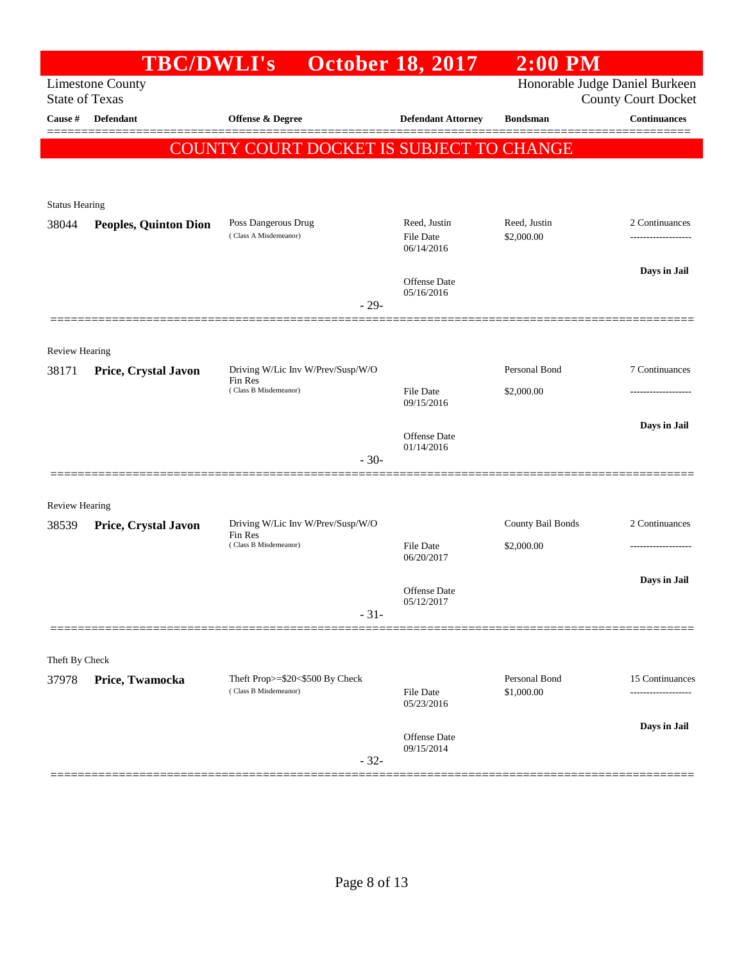| Honorable Judge Daniel Burkeen<br><b>Limestone County</b><br><b>State of Texas</b><br><b>County Court Docket</b><br><b>Continuances</b><br>Cause #<br>Defendant<br><b>Offense &amp; Degree</b><br><b>Defendant Attorney</b><br><b>Bondsman</b><br>COUNTY COURT DOCKET IS SUBJECT TO CHANGE<br><b>Status Hearing</b><br>Poss Dangerous Drug<br>Reed, Justin<br>Reed, Justin<br>2 Continuances<br>38044<br><b>Peoples, Quinton Dion</b><br>(Class A Misdemeanor)<br>\$2,000.00<br><b>File Date</b><br>------------------<br>06/14/2016<br>Days in Jail<br>Offense Date<br>05/16/2016<br>$-29-$<br><b>Review Hearing</b><br>Personal Bond<br>7 Continuances<br>Driving W/Lic Inv W/Prev/Susp/W/O<br>38171<br>Price, Crystal Javon<br>Fin Res<br>(Class B Misdemeanor)<br><b>File Date</b><br>\$2,000.00<br>09/15/2016<br>Days in Jail<br>Offense Date<br>01/14/2016<br>$-30-$<br><b>Review Hearing</b><br>2 Continuances<br>Driving W/Lic Inv W/Prev/Susp/W/O<br>County Bail Bonds<br>Price, Crystal Javon<br>38539<br>Fin Res<br>(Class B Misdemeanor)<br><b>File Date</b><br>\$2,000.00<br>-----------------<br>06/20/2017<br>Days in Jail<br>Offense Date<br>05/12/2017<br>$-31-$<br>Theft By Check<br>Personal Bond<br>Theft Prop>=\$20<\$500 By Check<br>37978<br>Price, Twamocka<br>(Class B Misdemeanor)<br>File Date<br>\$1,000.00<br>05/23/2016<br>Days in Jail<br>Offense Date<br>09/15/2014<br>$-32-$ | <b>TBC/DWLI's</b> |  | <b>October 18, 2017</b> | $2:00$ PM |                 |  |  |
|---------------------------------------------------------------------------------------------------------------------------------------------------------------------------------------------------------------------------------------------------------------------------------------------------------------------------------------------------------------------------------------------------------------------------------------------------------------------------------------------------------------------------------------------------------------------------------------------------------------------------------------------------------------------------------------------------------------------------------------------------------------------------------------------------------------------------------------------------------------------------------------------------------------------------------------------------------------------------------------------------------------------------------------------------------------------------------------------------------------------------------------------------------------------------------------------------------------------------------------------------------------------------------------------------------------------------------------------------------------------------------------------------------------|-------------------|--|-------------------------|-----------|-----------------|--|--|
|                                                                                                                                                                                                                                                                                                                                                                                                                                                                                                                                                                                                                                                                                                                                                                                                                                                                                                                                                                                                                                                                                                                                                                                                                                                                                                                                                                                                               |                   |  |                         |           |                 |  |  |
|                                                                                                                                                                                                                                                                                                                                                                                                                                                                                                                                                                                                                                                                                                                                                                                                                                                                                                                                                                                                                                                                                                                                                                                                                                                                                                                                                                                                               |                   |  |                         |           |                 |  |  |
|                                                                                                                                                                                                                                                                                                                                                                                                                                                                                                                                                                                                                                                                                                                                                                                                                                                                                                                                                                                                                                                                                                                                                                                                                                                                                                                                                                                                               |                   |  |                         |           |                 |  |  |
|                                                                                                                                                                                                                                                                                                                                                                                                                                                                                                                                                                                                                                                                                                                                                                                                                                                                                                                                                                                                                                                                                                                                                                                                                                                                                                                                                                                                               |                   |  |                         |           |                 |  |  |
|                                                                                                                                                                                                                                                                                                                                                                                                                                                                                                                                                                                                                                                                                                                                                                                                                                                                                                                                                                                                                                                                                                                                                                                                                                                                                                                                                                                                               |                   |  |                         |           |                 |  |  |
|                                                                                                                                                                                                                                                                                                                                                                                                                                                                                                                                                                                                                                                                                                                                                                                                                                                                                                                                                                                                                                                                                                                                                                                                                                                                                                                                                                                                               |                   |  |                         |           |                 |  |  |
|                                                                                                                                                                                                                                                                                                                                                                                                                                                                                                                                                                                                                                                                                                                                                                                                                                                                                                                                                                                                                                                                                                                                                                                                                                                                                                                                                                                                               |                   |  |                         |           |                 |  |  |
|                                                                                                                                                                                                                                                                                                                                                                                                                                                                                                                                                                                                                                                                                                                                                                                                                                                                                                                                                                                                                                                                                                                                                                                                                                                                                                                                                                                                               |                   |  |                         |           |                 |  |  |
|                                                                                                                                                                                                                                                                                                                                                                                                                                                                                                                                                                                                                                                                                                                                                                                                                                                                                                                                                                                                                                                                                                                                                                                                                                                                                                                                                                                                               |                   |  |                         |           |                 |  |  |
|                                                                                                                                                                                                                                                                                                                                                                                                                                                                                                                                                                                                                                                                                                                                                                                                                                                                                                                                                                                                                                                                                                                                                                                                                                                                                                                                                                                                               |                   |  |                         |           |                 |  |  |
|                                                                                                                                                                                                                                                                                                                                                                                                                                                                                                                                                                                                                                                                                                                                                                                                                                                                                                                                                                                                                                                                                                                                                                                                                                                                                                                                                                                                               |                   |  |                         |           |                 |  |  |
|                                                                                                                                                                                                                                                                                                                                                                                                                                                                                                                                                                                                                                                                                                                                                                                                                                                                                                                                                                                                                                                                                                                                                                                                                                                                                                                                                                                                               |                   |  |                         |           |                 |  |  |
|                                                                                                                                                                                                                                                                                                                                                                                                                                                                                                                                                                                                                                                                                                                                                                                                                                                                                                                                                                                                                                                                                                                                                                                                                                                                                                                                                                                                               |                   |  |                         |           |                 |  |  |
|                                                                                                                                                                                                                                                                                                                                                                                                                                                                                                                                                                                                                                                                                                                                                                                                                                                                                                                                                                                                                                                                                                                                                                                                                                                                                                                                                                                                               |                   |  |                         |           |                 |  |  |
|                                                                                                                                                                                                                                                                                                                                                                                                                                                                                                                                                                                                                                                                                                                                                                                                                                                                                                                                                                                                                                                                                                                                                                                                                                                                                                                                                                                                               |                   |  |                         |           |                 |  |  |
|                                                                                                                                                                                                                                                                                                                                                                                                                                                                                                                                                                                                                                                                                                                                                                                                                                                                                                                                                                                                                                                                                                                                                                                                                                                                                                                                                                                                               |                   |  |                         |           |                 |  |  |
|                                                                                                                                                                                                                                                                                                                                                                                                                                                                                                                                                                                                                                                                                                                                                                                                                                                                                                                                                                                                                                                                                                                                                                                                                                                                                                                                                                                                               |                   |  |                         |           |                 |  |  |
|                                                                                                                                                                                                                                                                                                                                                                                                                                                                                                                                                                                                                                                                                                                                                                                                                                                                                                                                                                                                                                                                                                                                                                                                                                                                                                                                                                                                               |                   |  |                         |           |                 |  |  |
|                                                                                                                                                                                                                                                                                                                                                                                                                                                                                                                                                                                                                                                                                                                                                                                                                                                                                                                                                                                                                                                                                                                                                                                                                                                                                                                                                                                                               |                   |  |                         |           |                 |  |  |
|                                                                                                                                                                                                                                                                                                                                                                                                                                                                                                                                                                                                                                                                                                                                                                                                                                                                                                                                                                                                                                                                                                                                                                                                                                                                                                                                                                                                               |                   |  |                         |           |                 |  |  |
|                                                                                                                                                                                                                                                                                                                                                                                                                                                                                                                                                                                                                                                                                                                                                                                                                                                                                                                                                                                                                                                                                                                                                                                                                                                                                                                                                                                                               |                   |  |                         |           |                 |  |  |
|                                                                                                                                                                                                                                                                                                                                                                                                                                                                                                                                                                                                                                                                                                                                                                                                                                                                                                                                                                                                                                                                                                                                                                                                                                                                                                                                                                                                               |                   |  |                         |           |                 |  |  |
|                                                                                                                                                                                                                                                                                                                                                                                                                                                                                                                                                                                                                                                                                                                                                                                                                                                                                                                                                                                                                                                                                                                                                                                                                                                                                                                                                                                                               |                   |  |                         |           | 15 Continuances |  |  |
|                                                                                                                                                                                                                                                                                                                                                                                                                                                                                                                                                                                                                                                                                                                                                                                                                                                                                                                                                                                                                                                                                                                                                                                                                                                                                                                                                                                                               |                   |  |                         |           |                 |  |  |
|                                                                                                                                                                                                                                                                                                                                                                                                                                                                                                                                                                                                                                                                                                                                                                                                                                                                                                                                                                                                                                                                                                                                                                                                                                                                                                                                                                                                               |                   |  |                         |           |                 |  |  |
|                                                                                                                                                                                                                                                                                                                                                                                                                                                                                                                                                                                                                                                                                                                                                                                                                                                                                                                                                                                                                                                                                                                                                                                                                                                                                                                                                                                                               |                   |  |                         |           |                 |  |  |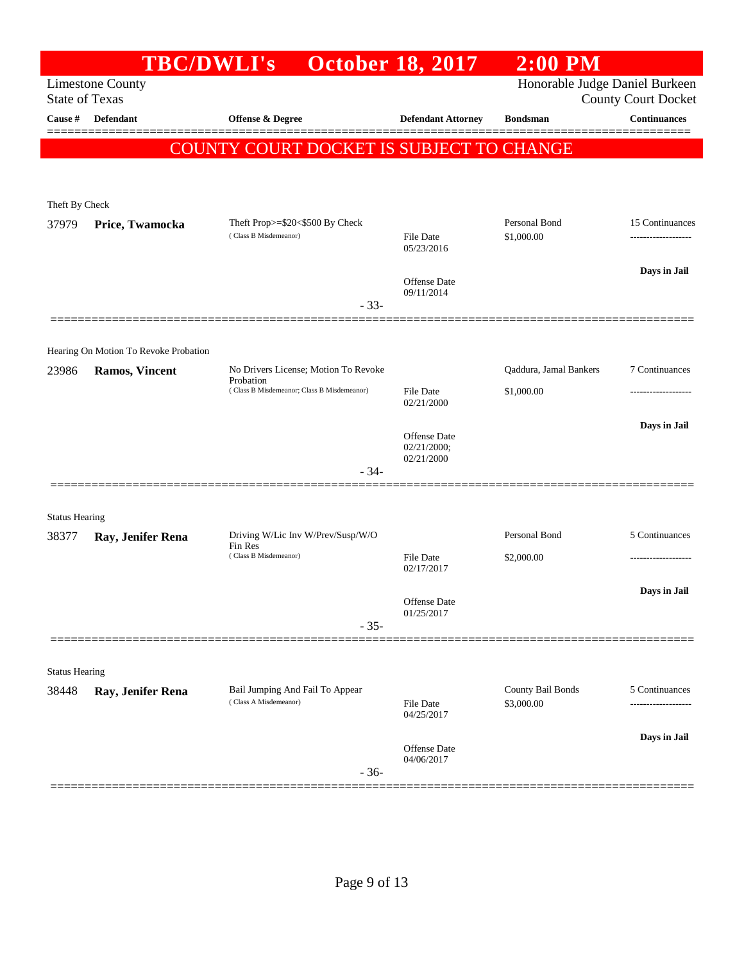|                       | <b>TBC/DWLI's</b>                                       |                                                          | <b>October 18, 2017</b>        | $2:00$ PM                       |                            |
|-----------------------|---------------------------------------------------------|----------------------------------------------------------|--------------------------------|---------------------------------|----------------------------|
| <b>State of Texas</b> | <b>Limestone County</b>                                 |                                                          |                                | Honorable Judge Daniel Burkeen  | <b>County Court Docket</b> |
| Cause #               | <b>Defendant</b>                                        | <b>Offense &amp; Degree</b>                              | <b>Defendant Attorney</b>      | <b>Bondsman</b>                 | <b>Continuances</b>        |
|                       |                                                         | COUNTY COURT DOCKET IS SUBJECT TO CHANGE                 |                                |                                 |                            |
|                       |                                                         |                                                          |                                |                                 |                            |
| Theft By Check        |                                                         |                                                          |                                |                                 |                            |
| 37979                 | Price, Twamocka                                         | Theft Prop>=\$20<\$500 By Check                          |                                | Personal Bond                   | 15 Continuances            |
|                       |                                                         | (Class B Misdemeanor)                                    | <b>File Date</b><br>05/23/2016 | \$1,000.00                      | ------------------         |
|                       |                                                         |                                                          |                                |                                 | Days in Jail               |
|                       |                                                         |                                                          | Offense Date<br>09/11/2014     |                                 |                            |
|                       |                                                         | $-33-$                                                   |                                |                                 |                            |
|                       | Hearing On Motion To Revoke Probation                   |                                                          |                                |                                 |                            |
| 23986                 | <b>Ramos, Vincent</b>                                   | No Drivers License; Motion To Revoke                     |                                | Qaddura, Jamal Bankers          | 7 Continuances             |
|                       | Probation<br>(Class B Misdemeanor; Class B Misdemeanor) |                                                          | <b>File Date</b>               | \$1,000.00                      |                            |
|                       |                                                         |                                                          | 02/21/2000                     |                                 |                            |
|                       |                                                         |                                                          | Offense Date                   |                                 | Days in Jail               |
|                       |                                                         |                                                          | 02/21/2000;<br>02/21/2000      |                                 |                            |
|                       |                                                         | $-34-$                                                   |                                |                                 |                            |
| <b>Status Hearing</b> |                                                         |                                                          |                                |                                 |                            |
| 38377                 | Ray, Jenifer Rena                                       | Driving W/Lic Inv W/Prev/Susp/W/O                        |                                | Personal Bond                   | 5 Continuances             |
|                       |                                                         | Fin Res<br>(Class B Misdemeanor)                         | File Date                      | \$2,000.00                      |                            |
|                       |                                                         |                                                          | 02/17/2017                     |                                 |                            |
|                       |                                                         |                                                          | Offense Date                   |                                 | Days in Jail               |
|                       |                                                         | $-35-$                                                   | 01/25/2017                     |                                 |                            |
|                       |                                                         |                                                          |                                |                                 |                            |
| <b>Status Hearing</b> |                                                         |                                                          |                                |                                 |                            |
| 38448                 | Ray, Jenifer Rena                                       | Bail Jumping And Fail To Appear<br>(Class A Misdemeanor) | <b>File Date</b>               | County Bail Bonds<br>\$3,000.00 | 5 Continuances             |
|                       |                                                         |                                                          | 04/25/2017                     |                                 |                            |
|                       |                                                         |                                                          | Offense Date                   |                                 | Days in Jail               |
|                       |                                                         | $-36-$                                                   | 04/06/2017                     |                                 |                            |
|                       |                                                         |                                                          |                                |                                 |                            |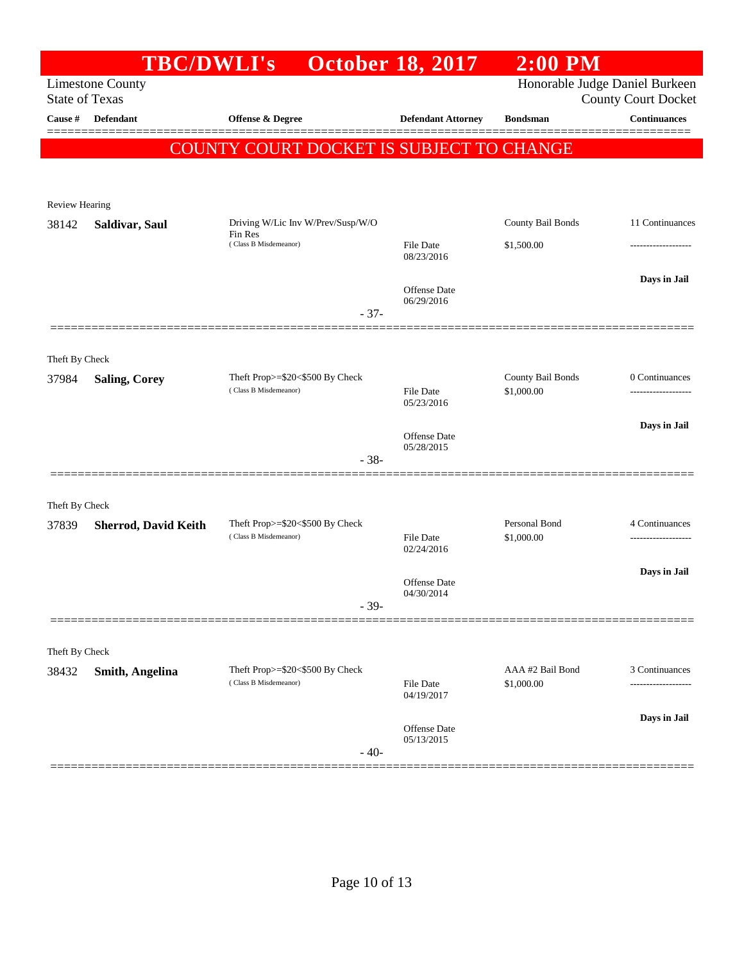|                         | <b>TBC/DWLI's</b>           |                                          | <b>October 18, 2017</b>        | $2:00$ PM                      |                            |
|-------------------------|-----------------------------|------------------------------------------|--------------------------------|--------------------------------|----------------------------|
| <b>State of Texas</b>   | <b>Limestone County</b>     |                                          |                                | Honorable Judge Daniel Burkeen | <b>County Court Docket</b> |
| Cause #                 | Defendant                   | Offense & Degree                         | <b>Defendant Attorney</b>      | <b>Bondsman</b>                | <b>Continuances</b>        |
|                         |                             | COUNTY COURT DOCKET IS SUBJECT TO CHANGE |                                |                                | =======                    |
|                         |                             |                                          |                                |                                |                            |
| Review Hearing          |                             |                                          |                                |                                |                            |
| 38142                   | Saldivar, Saul              | Driving W/Lic Inv W/Prev/Susp/W/O        |                                | County Bail Bonds              | 11 Continuances            |
|                         |                             | Fin Res<br>(Class B Misdemeanor)         | File Date<br>08/23/2016        | \$1,500.00                     |                            |
|                         |                             |                                          | Offense Date<br>06/29/2016     |                                | Days in Jail               |
|                         |                             | $-37-$                                   |                                |                                |                            |
|                         |                             |                                          |                                |                                |                            |
| Theft By Check<br>37984 | <b>Saling, Corey</b>        | Theft Prop>=\$20<\$500 By Check          |                                | County Bail Bonds              | 0 Continuances             |
|                         |                             | (Class B Misdemeanor)                    | <b>File Date</b><br>05/23/2016 | \$1,000.00                     |                            |
|                         |                             |                                          |                                |                                | Days in Jail               |
|                         |                             |                                          | Offense Date<br>05/28/2015     |                                |                            |
|                         |                             | $-38-$                                   |                                |                                |                            |
| Theft By Check          |                             |                                          |                                |                                |                            |
| 37839                   | <b>Sherrod, David Keith</b> | Theft Prop>=\$20<\$500 By Check          |                                | Personal Bond                  | 4 Continuances             |
|                         |                             | (Class B Misdemeanor)                    | <b>File Date</b><br>02/24/2016 | \$1,000.00                     |                            |
|                         |                             |                                          |                                |                                | Days in Jail               |
|                         |                             | $-39-$                                   | Offense Date<br>04/30/2014     |                                |                            |
|                         |                             |                                          |                                |                                |                            |
| Theft By Check          |                             |                                          |                                |                                |                            |
| 38432                   | <b>Smith, Angelina</b>      | Theft Prop>=\$20<\$500 By Check          |                                | AAA #2 Bail Bond               | 3 Continuances             |
|                         |                             | (Class B Misdemeanor)                    | File Date<br>04/19/2017        | \$1,000.00                     | ------------------         |
|                         |                             |                                          | Offense Date                   |                                | Days in Jail               |
|                         |                             | $-40-$                                   | 05/13/2015                     |                                |                            |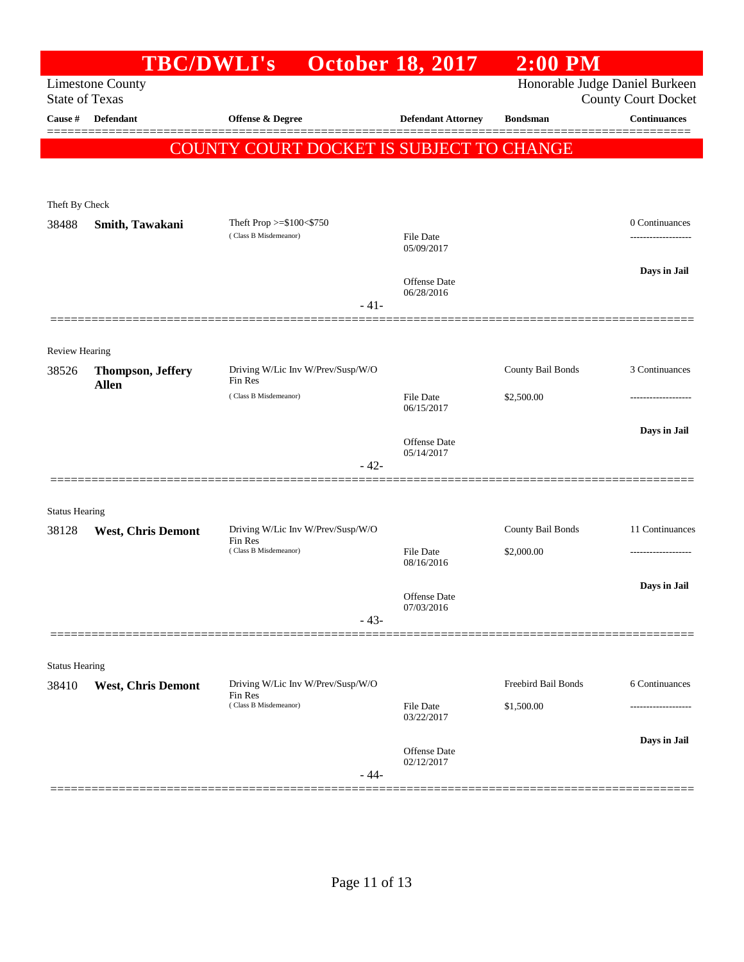| <b>Offense &amp; Degree</b><br>COUNTY COURT DOCKET IS SUBJECT TO CHANGE | <b>Defendant Attorney</b>                                                                                                                                                                                                                                               | Honorable Judge Daniel Burkeen<br><b>Bondsman</b> | <b>County Court Docket</b><br><b>Continuances</b> |
|-------------------------------------------------------------------------|-------------------------------------------------------------------------------------------------------------------------------------------------------------------------------------------------------------------------------------------------------------------------|---------------------------------------------------|---------------------------------------------------|
|                                                                         |                                                                                                                                                                                                                                                                         |                                                   |                                                   |
|                                                                         |                                                                                                                                                                                                                                                                         |                                                   |                                                   |
|                                                                         |                                                                                                                                                                                                                                                                         |                                                   |                                                   |
|                                                                         |                                                                                                                                                                                                                                                                         |                                                   |                                                   |
|                                                                         |                                                                                                                                                                                                                                                                         |                                                   |                                                   |
|                                                                         | File Date<br>05/09/2017                                                                                                                                                                                                                                                 |                                                   | 0 Continuances<br>-------------------             |
|                                                                         | <b>Offense Date</b><br>06/28/2016                                                                                                                                                                                                                                       |                                                   | Days in Jail                                      |
| $-41-$                                                                  |                                                                                                                                                                                                                                                                         |                                                   |                                                   |
|                                                                         |                                                                                                                                                                                                                                                                         |                                                   |                                                   |
|                                                                         |                                                                                                                                                                                                                                                                         | County Bail Bonds                                 | 3 Continuances                                    |
| (Class B Misdemeanor)                                                   | <b>File Date</b><br>06/15/2017                                                                                                                                                                                                                                          | \$2,500.00                                        |                                                   |
|                                                                         | <b>Offense</b> Date<br>05/14/2017                                                                                                                                                                                                                                       |                                                   | Days in Jail                                      |
| $-42-$                                                                  |                                                                                                                                                                                                                                                                         |                                                   |                                                   |
|                                                                         |                                                                                                                                                                                                                                                                         |                                                   |                                                   |
|                                                                         |                                                                                                                                                                                                                                                                         | County Bail Bonds                                 | 11 Continuances                                   |
|                                                                         | File Date<br>08/16/2016                                                                                                                                                                                                                                                 | \$2,000.00                                        |                                                   |
|                                                                         | Offense Date<br>07/03/2016                                                                                                                                                                                                                                              |                                                   | Days in Jail                                      |
|                                                                         |                                                                                                                                                                                                                                                                         |                                                   |                                                   |
|                                                                         |                                                                                                                                                                                                                                                                         |                                                   |                                                   |
|                                                                         |                                                                                                                                                                                                                                                                         |                                                   | 6 Continuances                                    |
|                                                                         | 03/22/2017                                                                                                                                                                                                                                                              |                                                   | -------------                                     |
|                                                                         | Offense Date<br>02/12/2017                                                                                                                                                                                                                                              |                                                   | Days in Jail                                      |
|                                                                         | Theft Prop >=\$100<\$750<br>(Class B Misdemeanor)<br>Driving W/Lic Inv W/Prev/Susp/W/O<br>Fin Res<br>Driving W/Lic Inv W/Prev/Susp/W/O<br>Fin Res<br>(Class B Misdemeanor)<br>$-43-$<br>Driving W/Lic Inv W/Prev/Susp/W/O<br>Fin Res<br>(Class B Misdemeanor)<br>$-44-$ | File Date                                         | Freebird Bail Bonds<br>\$1,500.00                 |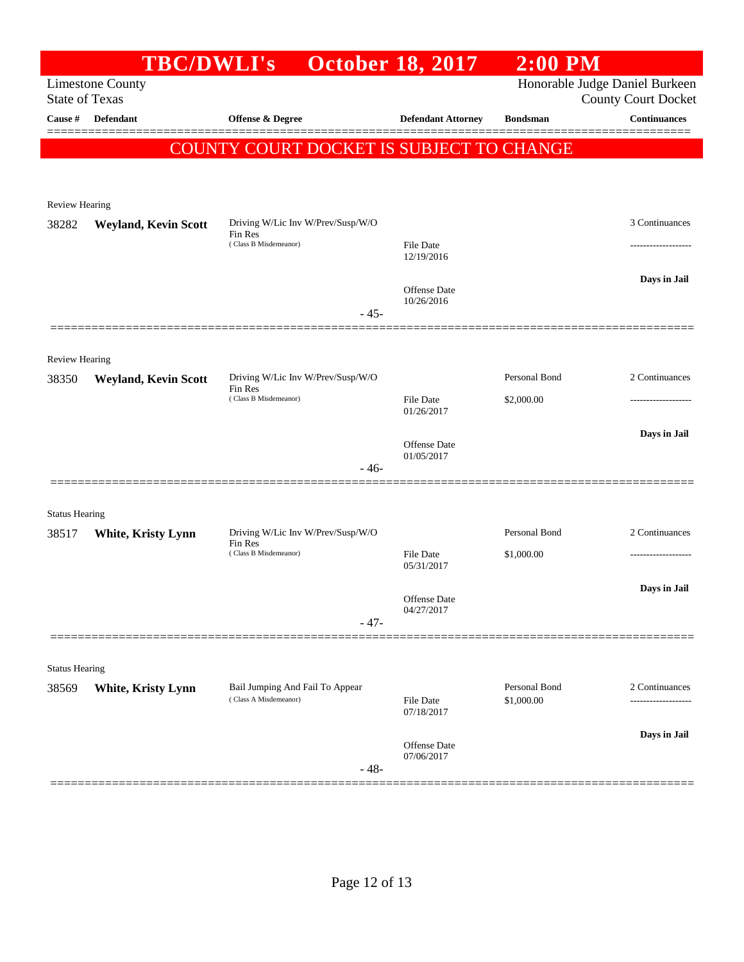|                                  | <b>TBC/DWLI's</b>           |                                                          | <b>October 18, 2017</b>           | $2:00$ PM                   |                                                   |
|----------------------------------|-----------------------------|----------------------------------------------------------|-----------------------------------|-----------------------------|---------------------------------------------------|
|                                  | <b>Limestone County</b>     |                                                          |                                   |                             | Honorable Judge Daniel Burkeen                    |
| <b>State of Texas</b><br>Cause # | Defendant                   | <b>Offense &amp; Degree</b>                              | <b>Defendant Attorney</b>         | <b>Bondsman</b>             | <b>County Court Docket</b><br><b>Continuances</b> |
|                                  |                             |                                                          |                                   |                             |                                                   |
|                                  |                             | COUNTY COURT DOCKET IS SUBJECT TO CHANGE                 |                                   |                             |                                                   |
|                                  |                             |                                                          |                                   |                             |                                                   |
| Review Hearing                   |                             |                                                          |                                   |                             |                                                   |
| 38282                            | <b>Weyland, Kevin Scott</b> | Driving W/Lic Inv W/Prev/Susp/W/O                        |                                   |                             | 3 Continuances                                    |
|                                  |                             | Fin Res<br>(Class B Misdemeanor)                         | File Date                         |                             |                                                   |
|                                  |                             |                                                          | 12/19/2016                        |                             |                                                   |
|                                  |                             |                                                          | Offense Date                      |                             | Days in Jail                                      |
|                                  |                             | $-45-$                                                   | 10/26/2016                        |                             |                                                   |
|                                  |                             |                                                          |                                   |                             |                                                   |
| <b>Review Hearing</b>            |                             |                                                          |                                   |                             |                                                   |
| 38350                            | <b>Weyland, Kevin Scott</b> | Driving W/Lic Inv W/Prev/Susp/W/O<br>Fin Res             |                                   | Personal Bond               | 2 Continuances                                    |
|                                  |                             | (Class B Misdemeanor)                                    | File Date                         | \$2,000.00                  |                                                   |
|                                  |                             |                                                          | 01/26/2017                        |                             |                                                   |
|                                  |                             |                                                          | <b>Offense</b> Date<br>01/05/2017 |                             | Days in Jail                                      |
|                                  |                             | $-46-$                                                   |                                   |                             |                                                   |
|                                  |                             |                                                          |                                   |                             |                                                   |
| <b>Status Hearing</b>            |                             |                                                          |                                   |                             |                                                   |
| 38517                            | White, Kristy Lynn          | Driving W/Lic Inv W/Prev/Susp/W/O<br>Fin Res             |                                   | Personal Bond               | 2 Continuances                                    |
|                                  |                             | (Class B Misdemeanor)                                    | File Date<br>05/31/2017           | \$1,000.00                  | -------------------                               |
|                                  |                             |                                                          |                                   |                             | Days in Jail                                      |
|                                  |                             |                                                          | Offense Date<br>04/27/2017        |                             |                                                   |
|                                  |                             | $-47-$                                                   |                                   |                             |                                                   |
|                                  |                             |                                                          |                                   |                             |                                                   |
| <b>Status Hearing</b>            |                             |                                                          |                                   |                             |                                                   |
| 38569                            | White, Kristy Lynn          | Bail Jumping And Fail To Appear<br>(Class A Misdemeanor) | <b>File Date</b>                  | Personal Bond<br>\$1,000.00 | 2 Continuances<br>------------------              |
|                                  |                             |                                                          | 07/18/2017                        |                             |                                                   |
|                                  |                             |                                                          | Offense Date                      |                             | Days in Jail                                      |
|                                  |                             | $-48-$                                                   | 07/06/2017                        |                             |                                                   |
|                                  |                             |                                                          |                                   |                             |                                                   |